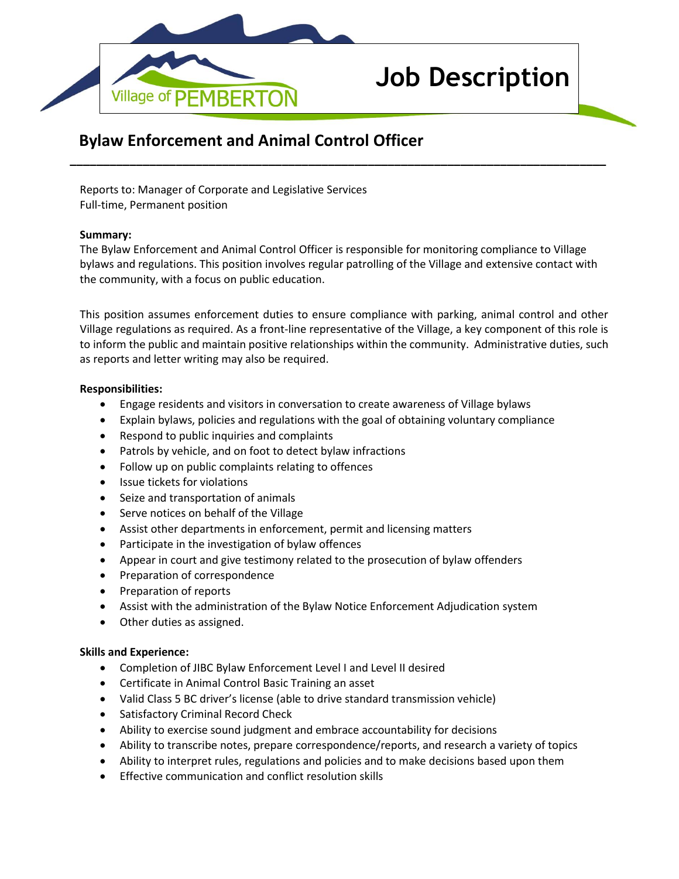

# **Job Description**

# **Bylaw Enforcement and Animal Control Officer**

Reports to: Manager of Corporate and Legislative Services Full-time, Permanent position

#### **Summary:**

The Bylaw Enforcement and Animal Control Officer is responsible for monitoring compliance to Village bylaws and regulations. This position involves regular patrolling of the Village and extensive contact with the community, with a focus on public education.

**\_\_\_\_\_\_\_\_\_\_\_\_\_\_\_\_\_\_\_\_\_\_\_\_\_\_\_\_\_\_\_\_\_\_\_\_\_\_\_\_\_\_\_\_\_\_\_\_\_\_\_\_\_\_\_\_\_\_\_\_\_\_\_\_\_\_\_\_\_\_\_\_\_\_\_\_\_\_\_\_\_**

This position assumes enforcement duties to ensure compliance with parking, animal control and other Village regulations as required. As a front-line representative of the Village, a key component of this role is to inform the public and maintain positive relationships within the community. Administrative duties, such as reports and letter writing may also be required.

#### **Responsibilities:**

- Engage residents and visitors in conversation to create awareness of Village bylaws
- Explain bylaws, policies and regulations with the goal of obtaining voluntary compliance
- Respond to public inquiries and complaints
- Patrols by vehicle, and on foot to detect bylaw infractions
- Follow up on public complaints relating to offences
- Issue tickets for violations
- Seize and transportation of animals
- Serve notices on behalf of the Village
- Assist other departments in enforcement, permit and licensing matters
- Participate in the investigation of bylaw offences
- Appear in court and give testimony related to the prosecution of bylaw offenders
- Preparation of correspondence
- Preparation of reports
- Assist with the administration of the Bylaw Notice Enforcement Adjudication system
- Other duties as assigned.

## **Skills and Experience:**

- Completion of JIBC Bylaw Enforcement Level I and Level II desired
- Certificate in Animal Control Basic Training an asset
- Valid Class 5 BC driver's license (able to drive standard transmission vehicle)
- Satisfactory Criminal Record Check
- Ability to exercise sound judgment and embrace accountability for decisions
- Ability to transcribe notes, prepare correspondence/reports, and research a variety of topics
- Ability to interpret rules, regulations and policies and to make decisions based upon them
- Effective communication and conflict resolution skills